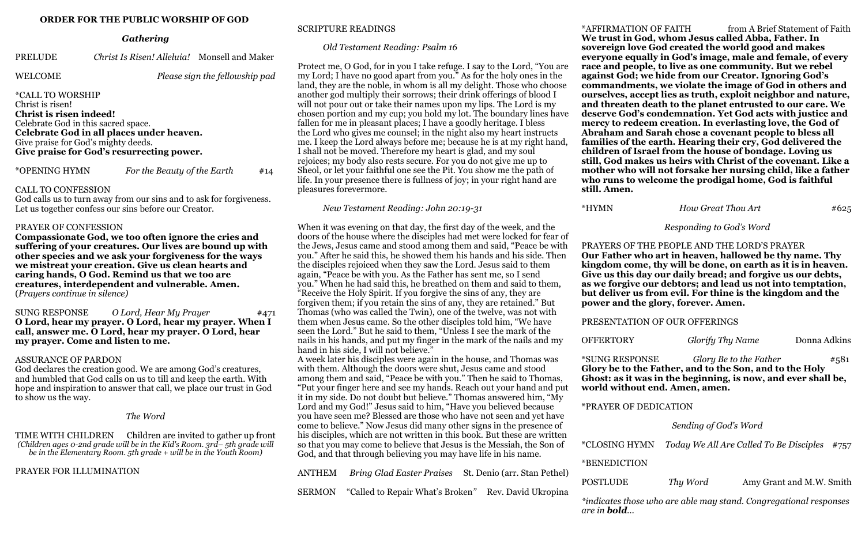#### **ORDER FOR THE PUBLIC WORSHIP OF GOD**

#### *Gathering*

## PRELUDE *Christ Is Risen! Alleluia!* Monsell and Maker

WELCOME *Please sign the fellowship pad* 

\*CALL TO WORSHIP Christ is risen! **Christ is risen indeed!** Celebrate God in this sacred space. **Celebrate God in all places under heaven.** Give praise for God's mighty deeds. **Give praise for God's resurrecting power.** 

\*OPENING HYMN *For the Beauty of the Earth* #14

#### CALL TO CONFESSION

God calls us to turn away from our sins and to ask for forgiveness. Let us together confess our sins before our Creator.

#### PRAYER OF CONFESSION

**Compassionate God, we too often ignore the cries and suffering of your creatures. Our lives are bound up with other species and we ask your forgiveness for the ways we mistreat your creation. Give us clean hearts and caring hands, O God. Remind us that we too are creatures, interdependent and vulnerable. Amen.**  (*Prayers continue in silence)*

SUNG RESPONSE *O Lord, Hear My Prayer* #471 **O Lord, hear my prayer. O Lord, hear my prayer. When I call, answer me. O Lord, hear my prayer. O Lord, hear my prayer. Come and listen to me.** 

#### ASSURANCE OF PARDON

God declares the creation good. We are among God's creatures, and humbled that God calls on us to till and keep the earth. With hope and inspiration to answer that call, we place our trust in God to show us the way.

When it was evening on that day, the first day of the week, and the doors of the house where the disciples had met were locked for fear of the Jews, Jesus came and stood among them and said, "Peace be with you." After he said this, he showed them his hands and his side. Then the disciples rejoiced when they saw the Lord. Jesus said to them again, "Peace be with you. As the Father has sent me, so I send you." When he had said this, he breathed on them and said to them, "Receive the Holy Spirit. If you forgive the sins of any, they are forgiven them; if you retain the sins of any, they are retained." But Thomas (who was called the Twin), one of the twelve, was not with them when Jesus came. So the other disciples told him, "We have seen the Lord." But he said to them, "Unless I see the mark of the nails in his hands, and put my finger in the mark of the nails and my hand in his side, I will not believe."

#### *The Word*

TIME WITH CHILDREN Children are invited to gather up front *(Children ages 0-2nd grade will be in the Kid's Room. 3rd– 5th grade will be in the Elementary Room. 5th grade + will be in the Youth Room)* 

PRAYER FOR ILLUMINATION

### SCRIPTURE READINGS

#### *Old Testament Reading: Psalm 16*

Protect me, O God, for in you I take refuge. I say to the Lord, "You are my Lord; I have no good apart from you." As for the holy ones in the land, they are the noble, in whom is all my delight. Those who choose another god multiply their sorrows; their drink offerings of blood I will not pour out or take their names upon my lips. The Lord is my chosen portion and my cup; you hold my lot. The boundary lines have fallen for me in pleasant places; I have a goodly heritage. I bless the Lord who gives me counsel; in the night also my heart instructs me. I keep the Lord always before me; because he is at my right hand, I shall not be moved. Therefore my heart is glad, and my soul rejoices; my body also rests secure. For you do not give me up to Sheol, or let your faithful one see the Pit. You show me the path of life. In your presence there is fullness of joy; in your right hand are pleasures forevermore.

#### *New Testament Reading: John 20:19-31*

A week later his disciples were again in the house, and Thomas was with them. Although the doors were shut, Jesus came and stood among them and said, "Peace be with you." Then he said to Thomas, "Put your finger here and see my hands. Reach out your hand and put it in my side. Do not doubt but believe." Thomas answered him, "My Lord and my God!" Jesus said to him, "Have you believed because you have seen me? Blessed are those who have not seen and yet have come to believe." Now Jesus did many other signs in the presence of his disciples, which are not written in this book. But these are written so that you may come to believe that Jesus is the Messiah, the Son of God, and that through believing you may have life in his name.

| ANTHEM <i>Bring Glad Easter Praises</i> St. Denio (arr. Stan Pethel) |                     |
|----------------------------------------------------------------------|---------------------|
| SERMON "Called to Repair What's Broken"                              | Rev. David Ukropina |

\*AFFIRMATION OF FAITH from A Brief Statement of Faith **We trust in God, whom Jesus called Abba, Father. In sovereign love God created the world good and makes everyone equally in God's image, male and female, of every race and people, to live as one community. But we rebel against God; we hide from our Creator. Ignoring God's commandments, we violate the image of God in others and ourselves, accept lies as truth, exploit neighbor and nature, and threaten death to the planet entrusted to our care. We deserve God's condemnation. Yet God acts with justice and mercy to redeem creation. In everlasting love, the God of Abraham and Sarah chose a covenant people to bless all families of the earth. Hearing their cry, God delivered the children of Israel from the house of bondage. Loving us still, God makes us heirs with Christ of the covenant. Like a mother who will not forsake her nursing child, like a father who runs to welcome the prodigal home, God is faithful** 

**still. Amen.** 

\*HYMN *How Great Thou Art* #625

*Responding to God's Word*

**OFFERTORY** *Glorify Thy Name* Donna Adkins

PRAYERS OF THE PEOPLE AND THE LORD'S PRAYER **Our Father who art in heaven, hallowed be thy name. Thy kingdom come, thy will be done, on earth as it is in heaven. Give us this day our daily bread; and forgive us our debts, as we forgive our debtors; and lead us not into temptation, but deliver us from evil. For thine is the kingdom and the power and the glory, forever. Amen.**

PRESENTATION OF OUR OFFERINGS

\*SUNG RESPONSE *Glory Be to the Father* #581 **Glory be to the Father, and to the Son, and to the Holy Ghost: as it was in the beginning, is now, and ever shall be, world without end. Amen, amen.**

\*PRAYER OF DEDICATION

*Sending of God's Word*

\*CLOSING HYMN *Today We All Are Called To Be Disciples* #757

\*BENEDICTION

POSTLUDE *Thy Word* Amy Grant and M.W. Smith

*\*indicates those who are able may stand. Congregational responses* 

*are in bold...*